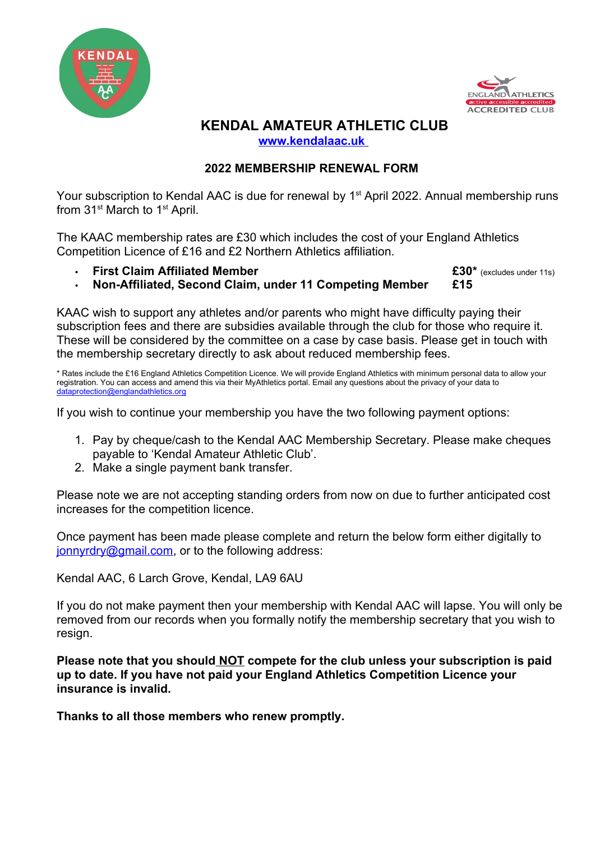



## **KENDAL AMATEUR ATHLETIC CLUB  [www.kendalaac.uk](http://www.kendalaac.uk/)**

# **2022 MEMBERSHIP RENEWAL FORM**

Your subscription to Kendal AAC is due for renewal by 1<sup>st</sup> April 2022. Annual membership runs from 31<sup>st</sup> March to 1<sup>st</sup> April.

The KAAC membership rates are £30 which includes the cost of your England Athletics Competition Licence of £16 and £2 Northern Athletics affiliation.

**First Claim Affiliated Member E30\*** (excludes under 11s)

**Non-Affiliated, Second Claim, under 11 Competing Member £15**

KAAC wish to support any athletes and/or parents who might have difficulty paying their subscription fees and there are subsidies available through the club for those who require it. These will be considered by the committee on a case by case basis. Please get in touch with the membership secretary directly to ask about reduced membership fees.

\* Rates include the £16 England Athletics Competition Licence. We will provide England Athletics with minimum personal data to allow your registration. You can access and amend this via their MyAthletics portal. Email any questions about the privacy of your data to [dataprotection@englandathletics.org](mailto:dataprotection@englandathletics.org)

If you wish to continue your membership you have the two following payment options:

- 1. Pay by cheque/cash to the Kendal AAC Membership Secretary. Please make cheques payable to 'Kendal Amateur Athletic Club'.
- 2. Make a single payment bank transfer.

Please note we are not accepting standing orders from now on due to further anticipated cost increases for the competition licence.

Once payment has been made please complete and return the below form either digitally to [jonnyrdry@gmail.com](mailto:jonnyrdry@gmail.com), or to the following address:

Kendal AAC, 6 Larch Grove, Kendal, LA9 6AU

If you do not make payment then your membership with Kendal AAC will lapse. You will only be removed from our records when you formally notify the membership secretary that you wish to resign.

**Please note that you should NOT compete for the club unless your subscription is paid up to date. If you have not paid your England Athletics Competition Licence your insurance is invalid.**

**Thanks to all those members who renew promptly.**